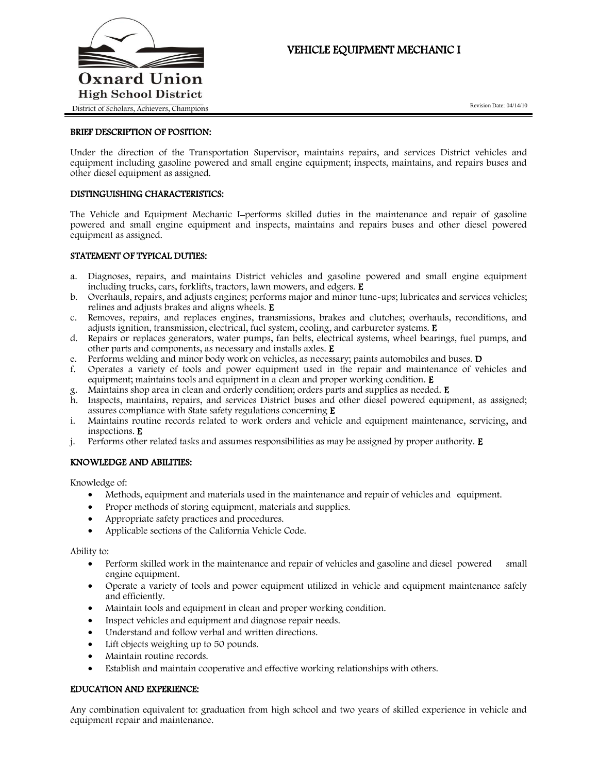

# VEHICLE EQUIPMENT MECHANIC I

Revision Date: 04/14/10

# BRIEF DESCRIPTION OF POSITION:

Under the direction of the Transportation Supervisor, maintains repairs, and services District vehicles and equipment including gasoline powered and small engine equipment; inspects, maintains, and repairs buses and other diesel equipment as assigned.

### DISTINGUISHING CHARACTERISTICS:

The Vehicle and Equipment Mechanic I-performs skilled duties in the maintenance and repair of gasoline powered and small engine equipment and inspects, maintains and repairs buses and other diesel powered equipment as assigned.

### STATEMENT OF TYPICAL DUTIES:

- a. Diagnoses, repairs, and maintains District vehicles and gasoline powered and small engine equipment including trucks, cars, forklifts, tractors, lawn mowers, and edgers. E
- b. Overhauls, repairs, and adjusts engines; performs major and minor tune-ups; lubricates and services vehicles; relines and adjusts brakes and aligns wheels. E
- c. Removes, repairs, and replaces engines, transmissions, brakes and clutches; overhauls, reconditions, and adjusts ignition, transmission, electrical, fuel system, cooling, and carburetor systems. E
- d. Repairs or replaces generators, water pumps, fan belts, electrical systems, wheel bearings, fuel pumps, and other parts and components, as necessary and installs axles. E
- e. Performs welding and minor body work on vehicles, as necessary; paints automobiles and buses. D
- f. Operates a variety of tools and power equipment used in the repair and maintenance of vehicles and equipment; maintains tools and equipment in a clean and proper working condition. **E**
- g. Maintains shop area in clean and orderly condition; orders parts and supplies as needed. E
- h. Inspects, maintains, repairs, and services District buses and other diesel powered equipment, as assigned; assures compliance with State safety regulations concerning E
- i. Maintains routine records related to work orders and vehicle and equipment maintenance, servicing, and inspections. E
- j. Performs other related tasks and assumes responsibilities as may be assigned by proper authority.  $E$

# KNOWLEDGE AND ABILITIES:

Knowledge of:

- Methods, equipment and materials used in the maintenance and repair of vehicles and equipment.
- Proper methods of storing equipment, materials and supplies.
- Appropriate safety practices and procedures.
- Applicable sections of the California Vehicle Code.

Ability to:

- Perform skilled work in the maintenance and repair of vehicles and gasoline and diesel powered small engine equipment.
- Operate a variety of tools and power equipment utilized in vehicle and equipment maintenance safely and efficiently.
- Maintain tools and equipment in clean and proper working condition.
- Inspect vehicles and equipment and diagnose repair needs.
- Understand and follow verbal and written directions.
- Lift objects weighing up to 50 pounds.
- Maintain routine records.
- Establish and maintain cooperative and effective working relationships with others.

#### EDUCATION AND EXPERIENCE:

Any combination equivalent to: graduation from high school and two years of skilled experience in vehicle and equipment repair and maintenance.